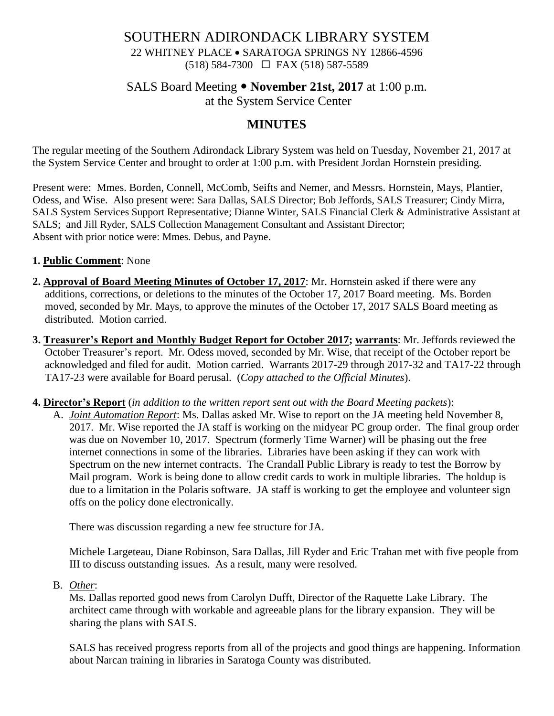# SOUTHERN ADIRONDACK LIBRARY SYSTEM 22 WHITNEY PLACE • SARATOGA SPRINGS NY 12866-4596 (518) 584-7300 FAX (518) 587-5589

# SALS Board Meeting **November 21st, 2017** at 1:00 p.m.

at the System Service Center

# **MINUTES**

The regular meeting of the Southern Adirondack Library System was held on Tuesday, November 21, 2017 at the System Service Center and brought to order at 1:00 p.m. with President Jordan Hornstein presiding.

Present were: Mmes. Borden, Connell, McComb, Seifts and Nemer, and Messrs. Hornstein, Mays, Plantier, Odess, and Wise. Also present were: Sara Dallas, SALS Director; Bob Jeffords, SALS Treasurer; Cindy Mirra, SALS System Services Support Representative; Dianne Winter, SALS Financial Clerk & Administrative Assistant at SALS; and Jill Ryder, SALS Collection Management Consultant and Assistant Director; Absent with prior notice were: Mmes. Debus, and Payne.

## **1. Public Comment**: None

- **2. Approval of Board Meeting Minutes of October 17, 2017**: Mr. Hornstein asked if there were any additions, corrections, or deletions to the minutes of the October 17, 2017 Board meeting. Ms. Borden moved, seconded by Mr. Mays, to approve the minutes of the October 17, 2017 SALS Board meeting as distributed. Motion carried.
- **3. Treasurer's Report and Monthly Budget Report for October 2017; warrants**: Mr. Jeffords reviewed the October Treasurer's report. Mr. Odess moved, seconded by Mr. Wise, that receipt of the October report be acknowledged and filed for audit. Motion carried. Warrants 2017-29 through 2017-32 and TA17-22 through TA17-23 were available for Board perusal. (*Copy attached to the Official Minutes*).
- **4. Director's Report** (*in addition to the written report sent out with the Board Meeting packets*):
	- A. *Joint Automation Report*: Ms. Dallas asked Mr. Wise to report on the JA meeting held November 8, 2017. Mr. Wise reported the JA staff is working on the midyear PC group order. The final group order was due on November 10, 2017. Spectrum (formerly Time Warner) will be phasing out the free internet connections in some of the libraries. Libraries have been asking if they can work with Spectrum on the new internet contracts. The Crandall Public Library is ready to test the Borrow by Mail program. Work is being done to allow credit cards to work in multiple libraries. The holdup is due to a limitation in the Polaris software. JA staff is working to get the employee and volunteer sign offs on the policy done electronically.

There was discussion regarding a new fee structure for JA.

Michele Largeteau, Diane Robinson, Sara Dallas, Jill Ryder and Eric Trahan met with five people from III to discuss outstanding issues. As a result, many were resolved.

B. *Other*:

Ms. Dallas reported good news from Carolyn Dufft, Director of the Raquette Lake Library. The architect came through with workable and agreeable plans for the library expansion. They will be sharing the plans with SALS.

SALS has received progress reports from all of the projects and good things are happening. Information about Narcan training in libraries in Saratoga County was distributed.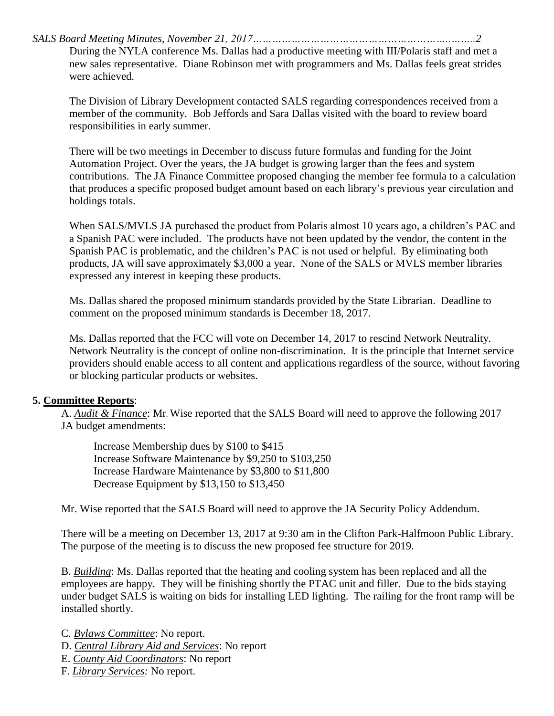*SALS Board Meeting Minutes, November 21, 2017……………………………………………………..……..2*

During the NYLA conference Ms. Dallas had a productive meeting with III/Polaris staff and met a new sales representative. Diane Robinson met with programmers and Ms. Dallas feels great strides were achieved.

The Division of Library Development contacted SALS regarding correspondences received from a member of the community. Bob Jeffords and Sara Dallas visited with the board to review board responsibilities in early summer.

There will be two meetings in December to discuss future formulas and funding for the Joint Automation Project. Over the years, the JA budget is growing larger than the fees and system contributions. The JA Finance Committee proposed changing the member fee formula to a calculation that produces a specific proposed budget amount based on each library's previous year circulation and holdings totals.

When SALS/MVLS JA purchased the product from Polaris almost 10 years ago, a children's PAC and a Spanish PAC were included. The products have not been updated by the vendor, the content in the Spanish PAC is problematic, and the children's PAC is not used or helpful. By eliminating both products, JA will save approximately \$3,000 a year. None of the SALS or MVLS member libraries expressed any interest in keeping these products.

Ms. Dallas shared the proposed minimum standards provided by the State Librarian. Deadline to comment on the proposed minimum standards is December 18, 2017.

Ms. Dallas reported that the FCC will vote on December 14, 2017 to rescind Network Neutrality. Network Neutrality is the concept of online non-discrimination. It is the principle that Internet service providers should enable access to all content and applications regardless of the source, without favoring or blocking particular products or websites.

### **5. Committee Reports**:

A. *Audit & Finance*: Mr. Wise reported that the SALS Board will need to approve the following 2017 JA budget amendments:

Increase Membership dues by \$100 to \$415 Increase Software Maintenance by \$9,250 to \$103,250 Increase Hardware Maintenance by \$3,800 to \$11,800 Decrease Equipment by \$13,150 to \$13,450

Mr. Wise reported that the SALS Board will need to approve the JA Security Policy Addendum.

There will be a meeting on December 13, 2017 at 9:30 am in the Clifton Park-Halfmoon Public Library. The purpose of the meeting is to discuss the new proposed fee structure for 2019.

B. *Building*: Ms. Dallas reported that the heating and cooling system has been replaced and all the employees are happy. They will be finishing shortly the PTAC unit and filler. Due to the bids staying under budget SALS is waiting on bids for installing LED lighting. The railing for the front ramp will be installed shortly.

C. *Bylaws Committee*: No report.

- D. *Central Library Aid and Services*: No report
- E. *County Aid Coordinators*: No report
- F. *Library Services:* No report.